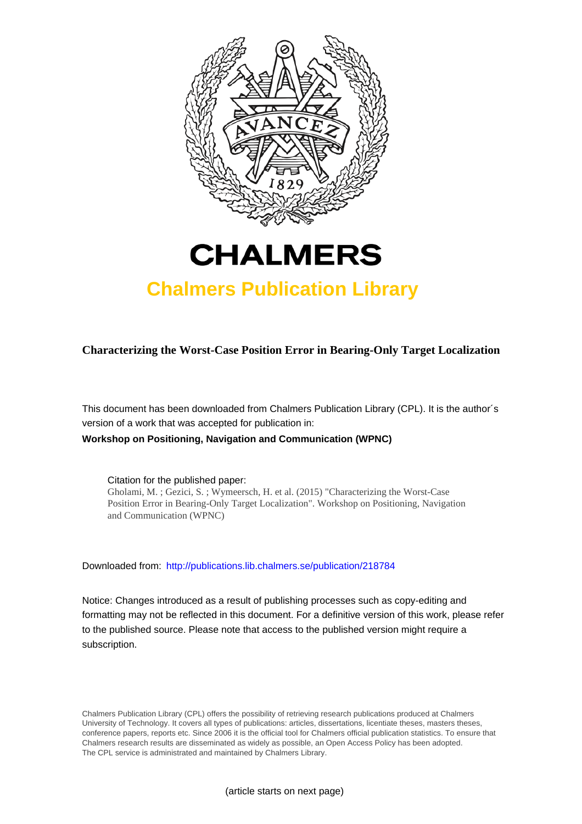



# **Chalmers Publication Library**

**Characterizing the Worst-Case Position Error in Bearing-Only Target Localization**

This document has been downloaded from Chalmers Publication Library (CPL). It is the author´s version of a work that was accepted for publication in:

**Workshop on Positioning, Navigation and Communication (WPNC)**

Citation for the published paper:

Gholami, M. ; Gezici, S. ; Wymeersch, H. et al. (2015) "Characterizing the Worst-Case Position Error in Bearing-Only Target Localization". Workshop on Positioning, Navigation and Communication (WPNC)

Downloaded from: <http://publications.lib.chalmers.se/publication/218784>

Notice: Changes introduced as a result of publishing processes such as copy-editing and formatting may not be reflected in this document. For a definitive version of this work, please refer to the published source. Please note that access to the published version might require a subscription.

Chalmers Publication Library (CPL) offers the possibility of retrieving research publications produced at Chalmers University of Technology. It covers all types of publications: articles, dissertations, licentiate theses, masters theses, conference papers, reports etc. Since 2006 it is the official tool for Chalmers official publication statistics. To ensure that Chalmers research results are disseminated as widely as possible, an Open Access Policy has been adopted. The CPL service is administrated and maintained by Chalmers Library.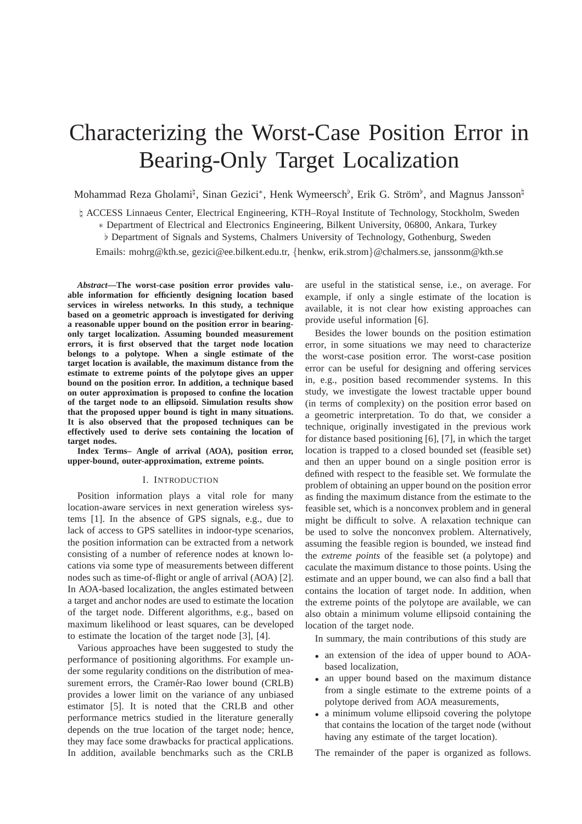# Characterizing the Worst-Case Position Error in Bearing-Only Target Localization

Mohammad Reza Gholami<sup> $\natural$ </sup>, Sinan Gezici<sup>\*</sup>, Henk Wymeersch<sup>b</sup>, Erik G. Ström<sup>b</sup>, and Magnus Jansson<sup> $\natural$ </sup>

♮ ACCESS Linnaeus Center, Electrical Engineering, KTH–Royal Institute of Technology, Stockholm, Sweden ∗ Department of Electrical and Electronics Engineering, Bilkent University, 06800, Ankara, Turkey

♭ Department of Signals and Systems, Chalmers University of Technology, Gothenburg, Sweden

Emails: mohrg@kth.se, gezici@ee.bilkent.edu.tr, {henkw, erik.strom}@chalmers.se, janssonm@kth.se

*Abstract***—The worst-case position error provides valuable information for efficiently designing location based services in wireless networks. In this study, a technique based on a geometric approach is investigated for deriving a reasonable upper bound on the position error in bearingonly target localization. Assuming bounded measurement errors, it is first observed that the target node location belongs to a polytope. When a single estimate of the target location is available, the maximum distance from the estimate to extreme points of the polytope gives an upper bound on the position error. In addition, a technique based on outer approximation is proposed to confine the location of the target node to an ellipsoid. Simulation results show that the proposed upper bound is tight in many situations. It is also observed that the proposed techniques can be effectively used to derive sets containing the location of target nodes.**

**Index Terms– Angle of arrival (AOA), position error, upper-bound, outer-approximation, extreme points.**

### I. INTRODUCTION

Position information plays a vital role for many location-aware services in next generation wireless systems [1]. In the absence of GPS signals, e.g., due to lack of access to GPS satellites in indoor-type scenarios, the position information can be extracted from a network consisting of a number of reference nodes at known locations via some type of measurements between different nodes such as time-of-flight or angle of arrival (AOA) [2]. In AOA-based localization, the angles estimated between a target and anchor nodes are used to estimate the location of the target node. Different algorithms, e.g., based on maximum likelihood or least squares, can be developed to estimate the location of the target node [3], [4].

Various approaches have been suggested to study the performance of positioning algorithms. For example under some regularity conditions on the distribution of measurement errors, the Cramér-Rao lower bound (CRLB) provides a lower limit on the variance of any unbiased estimator [5]. It is noted that the CRLB and other performance metrics studied in the literature generally depends on the true location of the target node; hence, they may face some drawbacks for practical applications. In addition, available benchmarks such as the CRLB are useful in the statistical sense, i.e., on average. For example, if only a single estimate of the location is available, it is not clear how existing approaches can provide useful information [6].

Besides the lower bounds on the position estimation error, in some situations we may need to characterize the worst-case position error. The worst-case position error can be useful for designing and offering services in, e.g., position based recommender systems. In this study, we investigate the lowest tractable upper bound (in terms of complexity) on the position error based on a geometric interpretation. To do that, we consider a technique, originally investigated in the previous work for distance based positioning [6], [7], in which the target location is trapped to a closed bounded set (feasible set) and then an upper bound on a single position error is defined with respect to the feasible set. We formulate the problem of obtaining an upper bound on the position error as finding the maximum distance from the estimate to the feasible set, which is a nonconvex problem and in general might be difficult to solve. A relaxation technique can be used to solve the nonconvex problem. Alternatively, assuming the feasible region is bounded, we instead find the *extreme points* of the feasible set (a polytope) and caculate the maximum distance to those points. Using the estimate and an upper bound, we can also find a ball that contains the location of target node. In addition, when the extreme points of the polytope are available, we can also obtain a minimum volume ellipsoid containing the location of the target node.

In summary, the main contributions of this study are

- an extension of the idea of upper bound to AOAbased localization,
- an upper bound based on the maximum distance from a single estimate to the extreme points of a polytope derived from AOA measurements,
- a minimum volume ellipsoid covering the polytope that contains the location of the target node (without having any estimate of the target location).

The remainder of the paper is organized as follows.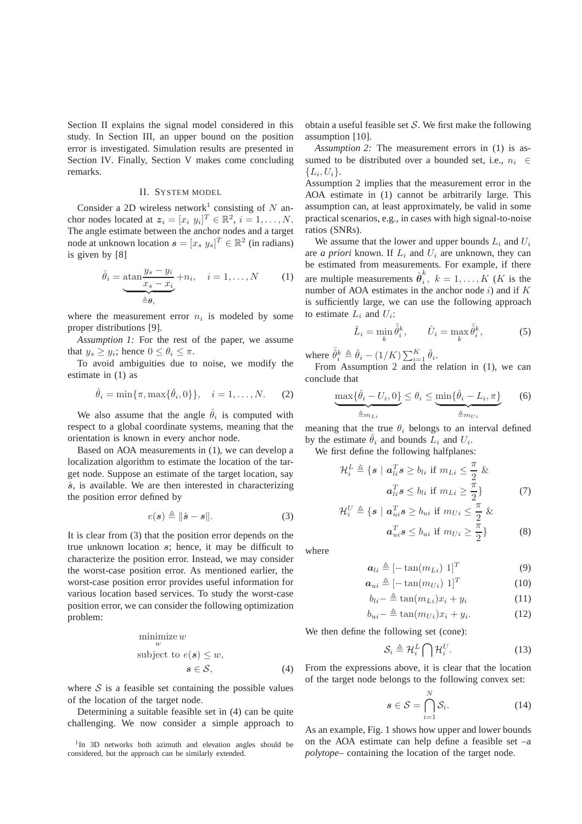Section II explains the signal model considered in this study. In Section III, an upper bound on the position error is investigated. Simulation results are presented in Section IV. Finally, Section V makes come concluding remarks.

# II. SYSTEM MODEL

Consider a 2D wireless network<sup>1</sup> consisting of  $N$  anchor nodes located at  $z_i = [x_i \; y_i]^T \in \mathbb{R}^2$ ,  $i = 1, ..., N$ . The angle estimate between the anchor nodes and a target node at unknown location  $\mathbf{s} = [x_s \ y_s]^T \in \mathbb{R}^2$  (in radians) is given by [8]

$$
\hat{\theta}_i = \underbrace{\text{atan} \frac{y_s - y_i}{x_s - x_i}}_{\triangleq \theta_i} + n_i, \quad i = 1, ..., N \quad (1)
$$

where the measurement error  $n_i$  is modeled by some proper distributions [9].

*Assumption 1:* For the rest of the paper, we assume that  $y_s \geq y_i$ ; hence  $0 \leq \theta_i \leq \pi$ .

To avoid ambiguities due to noise, we modify the estimate in (1) as

$$
\hat{\theta}_i = \min{\pi, \max{\{\check{\theta}_i, 0\}}}, \quad i = 1, ..., N.
$$
 (2)

We also assume that the angle  $\hat{\theta}_i$  is computed with respect to a global coordinate systems, meaning that the orientation is known in every anchor node.

Based on AOA measurements in (1), we can develop a localization algorithm to estimate the location of the target node. Suppose an estimate of the target location, say  $\hat{s}$ , is available. We are then interested in characterizing the position error defined by

$$
e(s) \triangleq ||\hat{s} - s||. \tag{3}
$$

It is clear from (3) that the position error depends on the true unknown location s; hence, it may be difficult to characterize the position error. Instead, we may consider the worst-case position error. As mentioned earlier, the worst-case position error provides useful information for various location based services. To study the worst-case position error, we can consider the following optimization problem:

$$
\begin{array}{ll}\n\text{minimize } w\\ \n\text{subject to } e(s) \le w, \\ \n&s \in \mathcal{S}, \tag{4}\n\end{array}
$$

where  $S$  is a feasible set containing the possible values of the location of the target node.

Determining a suitable feasible set in (4) can be quite challenging. We now consider a simple approach to

<sup>1</sup>In 3D networks both azimuth and elevation angles should be considered, but the approach can be similarly extended.

obtain a useful feasible set  $S$ . We first make the following assumption [10].

*Assumption 2:* The measurement errors in (1) is assumed to be distributed over a bounded set, i.e.,  $n_i \in \mathbb{R}$  $\{L_i, U_i\}.$ 

Assumption 2 implies that the measurement error in the AOA estimate in (1) cannot be arbitrarily large. This assumption can, at least approximately, be valid in some practical scenarios, e.g., in cases with high signal-to-noise ratios (SNRs).

We assume that the lower and upper bounds  $L_i$  and  $U_i$ are *a priori* known. If  $L_i$  and  $U_i$  are unknown, they can be estimated from measurements. For example, if there are multiple measurements  $\hat{\boldsymbol{\theta}}_i^k$  $i, k = 1, \ldots, K$  (*K* is the number of AOA estimates in the anchor node  $i$ ) and if K is sufficiently large, we can use the following approach to estimate  $L_i$  and  $U_i$ :

$$
\hat{L}_i = \min_k \bar{\hat{\theta}}_i^k, \qquad \hat{U}_i = \max_k \bar{\hat{\theta}}_i^k,\tag{5}
$$

where  $\bar{\hat{\theta}}_i^k \triangleq \hat{\theta}_i - (1/K) \sum_{i=1}^K \hat{\theta}_i$ .

From Assumption 2 and the relation in (1), we can conclude that

$$
\underbrace{\max\{\hat{\theta}_i - U_i, 0\}}_{\triangleq m_{Li}} \leq \theta_i \leq \underbrace{\min\{\hat{\theta}_i - L_i, \pi\}}_{\triangleq m_{Ui}} \tag{6}
$$

meaning that the true  $\theta_i$  belongs to an interval defined by the estimate  $\hat{\theta}_i$  and bounds  $\hat{L}_i$  and  $U_i$ .

We first define the following halfplanes:

$$
\mathcal{H}_{i}^{L} \triangleq \{s \mid a_{li}^{T}s \geq b_{li} \text{ if } m_{Li} \leq \frac{\pi}{2} \& a_{li}^{T}s \leq b_{li} \text{ if } m_{Li} \geq \frac{\pi}{2} \} \tag{7}
$$
\n
$$
\mathcal{H}_{i}^{U} \triangleq \{s \mid a_{ui}^{T}s \geq b_{ui} \text{ if } m_{Ui} \leq \frac{\pi}{2} \& \text{if } m_{Li} \leq \frac{\pi}{2} \& \text{if } m_{Li} \leq \frac{\pi}{2} \& \text{if } m_{Li} \leq \frac{\pi}{2} \& \text{if } m_{Li} \leq \frac{\pi}{2} \& \text{if } m_{Li} \leq \frac{\pi}{2} \& \text{if } m_{Li} \leq \frac{\pi}{2} \& \text{if } m_{Li} \leq \frac{\pi}{2} \& \text{if } m_{Li} \leq \frac{\pi}{2} \& \text{if } m_{Li} \leq \frac{\pi}{2} \& \text{if } m_{Li} \leq \frac{\pi}{2} \& \text{if } m_{Li} \leq \frac{\pi}{2} \& \text{if } m_{Li} \leq \frac{\pi}{2} \& \text{if } m_{Li} \leq \frac{\pi}{2} \& \text{if } m_{Li} \leq \frac{\pi}{2} \& \text{if } m_{Li} \leq \frac{\pi}{2} \& \text{if } m_{Li} \leq \frac{\pi}{2} \& \text{if } m_{Li} \leq \frac{\pi}{2} \& \text{if } m_{Li} \leq \frac{\pi}{2} \& \text{if } m_{Li} \leq \frac{\pi}{2} \& \text{if } m_{Li} \leq \frac{\pi}{2} \& \text{if } m_{Li} \leq \frac{\pi}{2} \& \text{if } m_{Li} \leq \frac{\pi}{2} \& \text{if } m_{Li} \leq \frac{\pi}{2} \& \text{if } m_{Li} \leq \frac{\pi}{2} \& \text{if } m_{Li} \leq \frac{\pi}{2} \& \text{if } m_{Li} \leq \frac{\pi}{2} \& \text
$$

 $a_{ui}^T s \leq b_{ui}$  if  $m_{Ui} \geq \frac{\overline{\pi}}{2}$ 

where

$$
\boldsymbol{a}_{li} \triangleq [ -\tan(m_{Li}) \; 1 ]^T \tag{9}
$$

2

} (8)

$$
\boldsymbol{a}_{ui} \triangleq [-\tan(m_{Ui}) \; 1]^T \tag{10}
$$

$$
b_{li} - \stackrel{\Delta}{=} \tan(m_{Li})x_i + y_i \tag{11}
$$

$$
b_{ui} - \stackrel{\Delta}{=} \tan(m_{Ui}) x_i + y_i. \tag{12}
$$

We then define the following set (cone):

$$
\mathcal{S}_i \triangleq \mathcal{H}_i^L \bigcap \mathcal{H}_i^U. \tag{13}
$$

From the expressions above, it is clear that the location of the target node belongs to the following convex set:

$$
s \in \mathcal{S} = \bigcap_{i=1}^{N} \mathcal{S}_i. \tag{14}
$$

As an example, Fig. 1 shows how upper and lower bounds on the AOA estimate can help define a feasible set –a *polytope*– containing the location of the target node.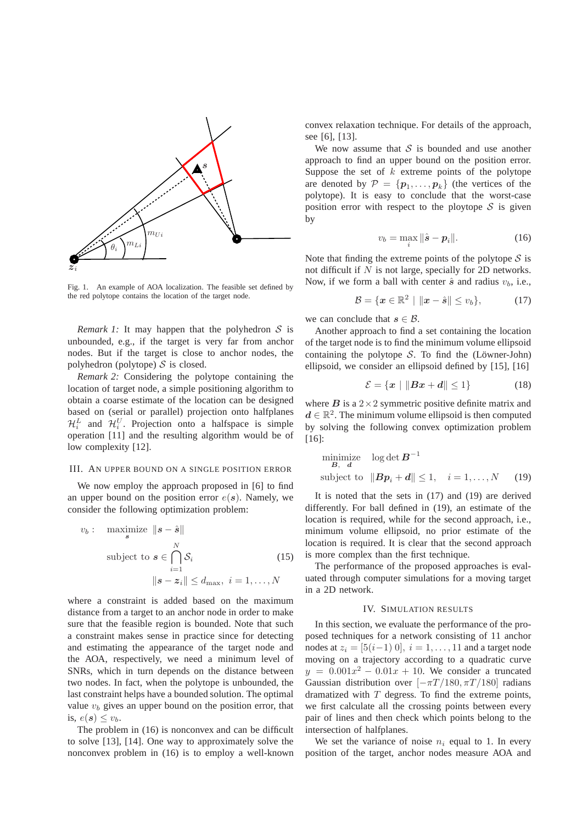

Fig. 1. An example of AOA localization. The feasible set defined by the red polytope contains the location of the target node.

*Remark 1:* It may happen that the polyhedron  $S$  is unbounded, e.g., if the target is very far from anchor nodes. But if the target is close to anchor nodes, the polyhedron (polytope)  $S$  is closed.

*Remark 2:* Considering the polytope containing the location of target node, a simple positioning algorithm to obtain a coarse estimate of the location can be designed based on (serial or parallel) projection onto halfplanes  $\mathcal{H}_i^L$  and  $\mathcal{H}_i^U$ . Projection onto a halfspace is simple operation [11] and the resulting algorithm would be of low complexity [12].

#### III. AN UPPER BOUND ON A SINGLE POSITION ERROR

We now employ the approach proposed in [6] to find an upper bound on the position error  $e(s)$ . Namely, we consider the following optimization problem:

$$
v_b: \quad \underset{s}{\text{maximize}} \quad \|s - \hat{s}\|
$$
\n
$$
\text{subject to } s \in \bigcap_{i=1}^N \mathcal{S}_i \tag{15}
$$
\n
$$
\|s - z_i\| \le d_{\text{max}}, \ i = 1, \dots, N
$$

where a constraint is added based on the maximum distance from a target to an anchor node in order to make sure that the feasible region is bounded. Note that such a constraint makes sense in practice since for detecting and estimating the appearance of the target node and the AOA, respectively, we need a minimum level of SNRs, which in turn depends on the distance between two nodes. In fact, when the polytope is unbounded, the last constraint helps have a bounded solution. The optimal value  $v<sub>b</sub>$  gives an upper bound on the position error, that is,  $e(s) \leq v_b$ .

The problem in (16) is nonconvex and can be difficult to solve [13], [14]. One way to approximately solve the nonconvex problem in (16) is to employ a well-known convex relaxation technique. For details of the approach, see [6], [13].

We now assume that  $S$  is bounded and use another approach to find an upper bound on the position error. Suppose the set of  $k$  extreme points of the polytope are denoted by  $\mathcal{P} = \{p_1, \ldots, p_k\}$  (the vertices of the polytope). It is easy to conclude that the worst-case position error with respect to the ploytope  $S$  is given by

$$
v_b = \max_i \|\hat{\boldsymbol{s}} - \boldsymbol{p}_i\|.
$$
 (16)

Note that finding the extreme points of the polytope  $S$  is not difficult if  $N$  is not large, specially for 2D networks. Now, if we form a ball with center  $\hat{s}$  and radius  $v_b$ , i.e.,

$$
\mathcal{B} = \{ \boldsymbol{x} \in \mathbb{R}^2 \mid \|\boldsymbol{x} - \hat{\boldsymbol{s}}\| \le v_b \},\tag{17}
$$

we can conclude that  $s \in \mathcal{B}$ .

Another approach to find a set containing the location of the target node is to find the minimum volume ellipsoid containing the polytope  $S$ . To find the (Löwner-John) ellipsoid, we consider an ellipsoid defined by [15], [16]

$$
\mathcal{E} = \{x \mid ||Bx + d|| \le 1\}
$$
 (18)

where  $B$  is a  $2 \times 2$  symmetric positive definite matrix and  $d \in \mathbb{R}^2$ . The minimum volume ellipsoid is then computed by solving the following convex optimization problem [16]:

minimize 
$$
\log \det B^{-1}
$$
  
subject to  $||Bp_i + d|| \le 1$ ,  $i = 1,..., N$  (19)

It is noted that the sets in (17) and (19) are derived differently. For ball defined in (19), an estimate of the location is required, while for the second approach, i.e., minimum volume ellipsoid, no prior estimate of the location is required. It is clear that the second approach is more complex than the first technique.

The performance of the proposed approaches is evaluated through computer simulations for a moving target in a 2D network.

# IV. SIMULATION RESULTS

In this section, we evaluate the performance of the proposed techniques for a network consisting of 11 anchor nodes at  $z_i = [5(i-1) 0], i = 1, \ldots, 11$  and a target node moving on a trajectory according to a quadratic curve  $y = 0.001x^2 - 0.01x + 10$ . We consider a truncated Gaussian distribution over  $[-\pi T/180, \pi T/180]$  radians dramatized with  $T$  degress. To find the extreme points, we first calculate all the crossing points between every pair of lines and then check which points belong to the intersection of halfplanes.

We set the variance of noise  $n_i$  equal to 1. In every position of the target, anchor nodes measure AOA and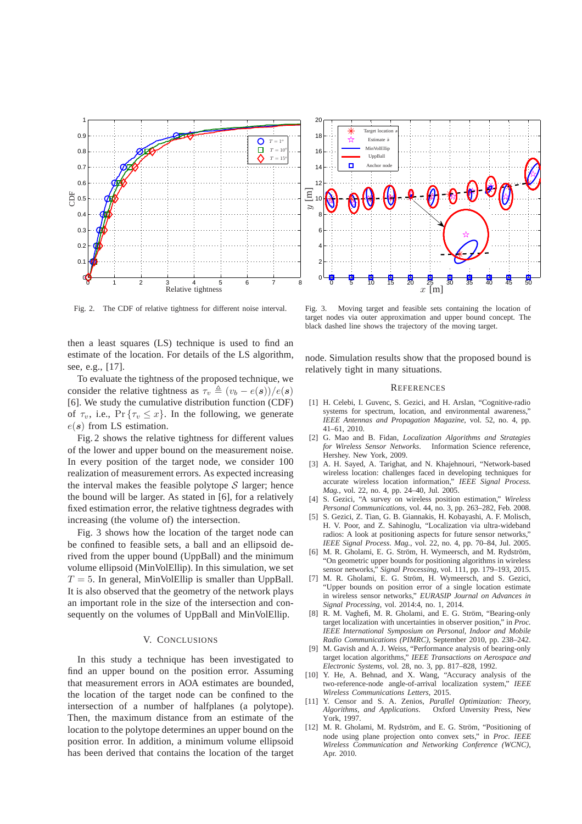

Fig. 2. The CDF of relative tightness for different noise interval.

then a least squares (LS) technique is used to find an estimate of the location. For details of the LS algorithm, see, e.g., [17].

To evaluate the tightness of the proposed technique, we consider the relative tightness as  $\tau_v \triangleq (v_b - e(s))/e(s)$ [6]. We study the cumulative distribution function (CDF) of  $\tau_v$ , i.e.,  $\Pr{\tau_v \leq x}$ . In the following, we generate  $e(s)$  from LS estimation.

Fig. 2 shows the relative tightness for different values of the lower and upper bound on the measurement noise. In every position of the target node, we consider 100 realization of measurement errors. As expected increasing the interval makes the feasible polytope  $S$  larger; hence the bound will be larger. As stated in [6], for a relatively fixed estimation error, the relative tightness degrades with increasing (the volume of) the intersection.

Fig. 3 shows how the location of the target node can be confined to feasible sets, a ball and an ellipsoid derived from the upper bound (UppBall) and the minimum volume ellipsoid (MinVolEllip). In this simulation, we set  $T = 5$ . In general, MinVolEllip is smaller than UppBall. It is also observed that the geometry of the network plays an important role in the size of the intersection and consequently on the volumes of UppBall and MinVolEllip.

# V. CONCLUSIONS

In this study a technique has been investigated to find an upper bound on the position error. Assuming that measurement errors in AOA estimates are bounded, the location of the target node can be confined to the intersection of a number of halfplanes (a polytope). Then, the maximum distance from an estimate of the location to the polytope determines an upper bound on the position error. In addition, a minimum volume ellipsoid has been derived that contains the location of the target



Fig. 3. Moving target and feasible sets containing the location of target nodes via outer approximation and upper bound concept. The black dashed line shows the trajectory of the moving target.

node. Simulation results show that the proposed bound is relatively tight in many situations.

#### **REFERENCES**

- [1] H. Celebi, I. Guvenc, S. Gezici, and H. Arslan, "Cognitive-radio systems for spectrum, location, and environmental awareness, *IEEE Antennas and Propagation Magazine*, vol. 52, no. 4, pp. 41–61, 2010.
- [2] G. Mao and B. Fidan, *Localization Algorithms and Strategies for Wireless Sensor Networks*. Information Science reference, Hershey. New York, 2009.
- [3] A. H. Sayed, A. Tarighat, and N. Khajehnouri, "Network-based wireless location: challenges faced in developing techniques for accurate wireless location information," *IEEE Signal Process. Mag.*, vol. 22, no. 4, pp. 24–40, Jul. 2005.
- [4] S. Gezici, "A survey on wireless position estimation," *Wireless Personal Communications*, vol. 44, no. 3, pp. 263–282, Feb. 2008.
- [5] S. Gezici, Z. Tian, G. B. Giannakis, H. Kobayashi, A. F. Molisch, H. V. Poor, and Z. Sahinoglu, "Localization via ultra-wideband radios: A look at positioning aspects for future sensor networks," *IEEE Signal Process. Mag.*, vol. 22, no. 4, pp. 70–84, Jul. 2005.
- [6] M. R. Gholami, E. G. Ström, H. Wymeersch, and M. Rydström, "On geometric upper bounds for positioning algorithms in wireless sensor networks," *Signal Processing*, vol. 111, pp. 179–193, 2015.
- [7] M. R. Gholami, E. G. Ström, H. Wymeersch, and S. Gezici, "Upper bounds on position error of a single location estimate in wireless sensor networks," *EURASIP Journal on Advances in Signal Processing*, vol. 2014:4, no. 1, 2014.
- [8] R. M. Vaghefi, M. R. Gholami, and E. G. Ström, "Bearing-only target localization with uncertainties in observer position," in *Proc. IEEE International Symposium on Personal, Indoor and Mobile Radio Communications (PIMRC)*, September 2010, pp. 238–242.
- [9] M. Gavish and A. J. Weiss, "Performance analysis of bearing-only target location algorithms," *IEEE Transactions on Aerospace and Electronic Systems*, vol. 28, no. 3, pp. 817–828, 1992.
- [10] Y. He, A. Behnad, and X. Wang, "Accuracy analysis of the two-reference-node angle-of-arrival localization system," *IEEE Wireless Communications Letters*, 2015.
- [11] Y. Censor and S. A. Zenios, *Parallel Optimization: Theory, Algorithms, and Applications*. Oxford Unversity Press, New York, 1997.
- [12] M. R. Gholami, M. Rydström, and E. G. Ström, "Positioning of node using plane projection onto convex sets," in *Proc. IEEE Wireless Communication and Networking Conference (WCNC)*, Apr. 2010.